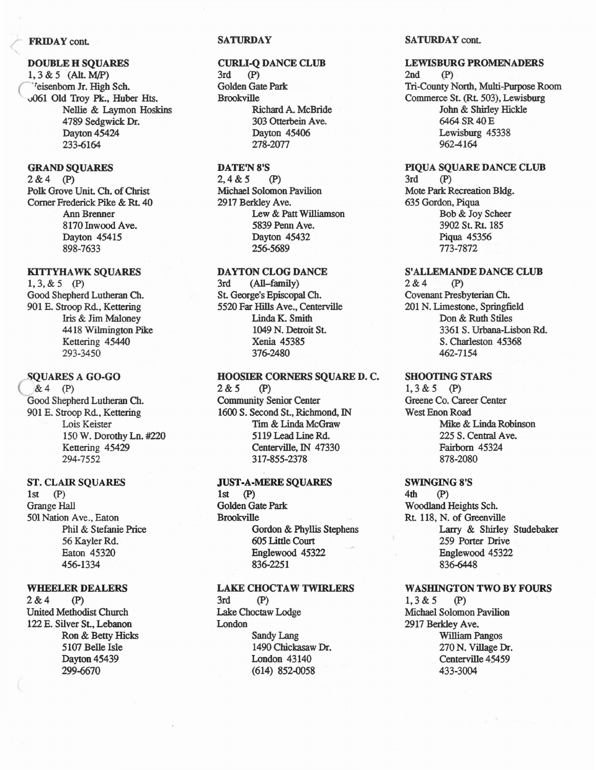### **FRIDAY** cont.

### DOUBLE H SQUARES

1,3 & 5 (All. M/P) <sup>7</sup>eisenborn Jr. High Sch. v061 Old Troy Pk., Huber Hts. Nellie & Laymon Hoskins 4789 Sedgwick Dr. Dayton 45424 233-6164

# GRAND SQUARES

2&4 (P) Polk Grove Unit. Ch, of Christ Comer Frederick Pike & Rt. 40 Ann Brenner 8170 Inwood Ave. Dayton 45415 898-7633

# KITTYHAWK SQUARES

1,3,& 5 (P) Good Shepherd Lutheran Ch. 901 E. Stroop Rd., Kettering Iris & Jim Maloney 4418 Wilmington Pike Kettering 45440 293-3450

# SQUARES A GO-GO

 $&4$  (P) Good Shepherd Lutheran Ch. 901 E. Stroop Rd.. Kettering Lois Keister 150 W. Dorothy Ln. #220 Kettering 45429 294-7552

### ST. CLAIR SQUARES

 $1st$   $(P)$ **Grange Hall** 501Nation Ave., Eaton Phil & Stefanie Price 56 Kayler Rd. Eaton 45320 456-1334

### WHEELER DEALERS

2&4 (P) United Methodist Church 122 E. Silver St., Lebanon Ron & Betty Hicks 5107 Belle Isle Dayton 45439 299-6670

# **SATURDAY**

### CURLI-Q DANCE CLUB

3rd (P) Golden Gate Park Brookville Richard A. McBride 303 Otterbein Ave. Dayton 45406 278-2077

# DATE'N 8'S

2,4&5 (P) Michael Solomon Pavilion 2917 Berkley Ave. Lew & Patt Williamson 5839 Penn Ave. Dayton 45432 256-5689

# DAYTON CLOG DANCE

3rd (All-family) St. George's Episcopal Ch. 5520 Far Hi1Is Ave., Centerville Linda K. Smith 1049 N. Detroit St. Xenia 45385 376-2480

HOOSIER CORNERS SQUARE D. C.  $2&5$  (P) Community Senior Center 1600 S. Second St., Richmond, IN Tim & Linda McGraw 5119 Lead Line Rd. Centerville, IN 47330 317-855-2378

# JUST-A-MERE SQUARES

 $1st$  (P) Golden Gate Park Brookville Gordon & Phyllis Stephens 605 Little Court Englewood 45322 836-2251

# LAKE CHOCTAW TWIRLERS

 $3rd$   $(P)$ Lake Choctaw Lodge London Sandy Lang 1490 Chickasaw Dr. London 43140 (614) 852-0058

# SATURDAY cont.

# LEWISBURG PROMENADERS

2nd (P) Tri-County North, Multi-Purpose Room Commerce St. (Rt. 503), Lewisburg John & Shirley Hickle 6464 SR40E Lewisburg 45338 962-4164

# PIQUA SQUARE DANCE CLUB

 $3rd$   $(P)$ Mote Park Recreation Bldg. 635 Gordon, Piqua Bob & Joy Scheer 3902 St. Rt. 185 Piqua 45356 773-7872

### S'ALLEMANDE DANCE CLUB

2&4 (P) Covenant Presbyterian Ch. 201 N. Limestone, Springfield Don & Ruth Stiles 3361 S. Urbana-Lisbon Rd. S. Charleston 45368 462-7154

# SHOOTING STARS

1,3 & 5 (P) Greene Co. Career Center West Enon Road Mike & Linda Robinson 225 S. Central Ave. Fairborn 45324 878-2080

### SWINGING 8'S

4th (P) Woodland Heights Sch. Rt. 118. N. of Greenville Larry & Shirley Studebaker 259 Porter Drive Englewood 45322 836-6448

### WASHINGTON TWO BY FOURS

 $1, 3 & 5$  (P) Michael Solomon Pavilion 2917 Berkley Ave. William Pangos 270 N. Village Dr. Centerville 45459 433-3004